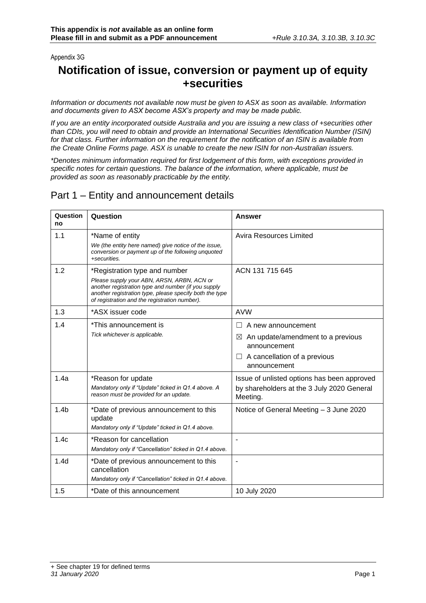### Appendix 3G

# **Notification of issue, conversion or payment up of equity +securities**

*Information or documents not available now must be given to ASX as soon as available. Information and documents given to ASX become ASX's property and may be made public.*

*If you are an entity incorporated outside Australia and you are issuing a new class of +securities other than CDIs, you will need to obtain and provide an International Securities Identification Number (ISIN) for that class. Further information on the requirement for the notification of an ISIN is available from the Create Online Forms page. ASX is unable to create the new ISIN for non-Australian issuers.*

*\*Denotes minimum information required for first lodgement of this form, with exceptions provided in specific notes for certain questions. The balance of the information, where applicable, must be provided as soon as reasonably practicable by the entity.*

### Part 1 – Entity and announcement details

| Question<br>no   | Question                                                                                                                                                                                                                                       | Answer                                                                                                                                      |
|------------------|------------------------------------------------------------------------------------------------------------------------------------------------------------------------------------------------------------------------------------------------|---------------------------------------------------------------------------------------------------------------------------------------------|
| 1.1              | *Name of entity<br>We (the entity here named) give notice of the issue,<br>conversion or payment up of the following unquoted<br>+securities.                                                                                                  | Avira Resources Limited                                                                                                                     |
| 1.2              | *Registration type and number<br>Please supply your ABN, ARSN, ARBN, ACN or<br>another registration type and number (if you supply<br>another registration type, please specify both the type<br>of registration and the registration number). | ACN 131 715 645                                                                                                                             |
| 1.3              | *ASX issuer code                                                                                                                                                                                                                               | <b>AVW</b>                                                                                                                                  |
| 1.4              | *This announcement is<br>Tick whichever is applicable.                                                                                                                                                                                         | A new announcement<br>An update/amendment to a previous<br>$\bowtie$<br>announcement<br>$\Box$ A cancellation of a previous<br>announcement |
| 1.4a             | *Reason for update<br>Mandatory only if "Update" ticked in Q1.4 above. A<br>reason must be provided for an update.                                                                                                                             | Issue of unlisted options has been approved<br>by shareholders at the 3 July 2020 General<br>Meeting.                                       |
| 1.4 <sub>b</sub> | *Date of previous announcement to this<br>update<br>Mandatory only if "Update" ticked in Q1.4 above.                                                                                                                                           | Notice of General Meeting - 3 June 2020                                                                                                     |
| 1.4c             | *Reason for cancellation<br>Mandatory only if "Cancellation" ticked in Q1.4 above.                                                                                                                                                             |                                                                                                                                             |
| 1.4 <sub>d</sub> | *Date of previous announcement to this<br>cancellation<br>Mandatory only if "Cancellation" ticked in Q1.4 above.                                                                                                                               |                                                                                                                                             |
| 1.5              | *Date of this announcement                                                                                                                                                                                                                     | 10 July 2020                                                                                                                                |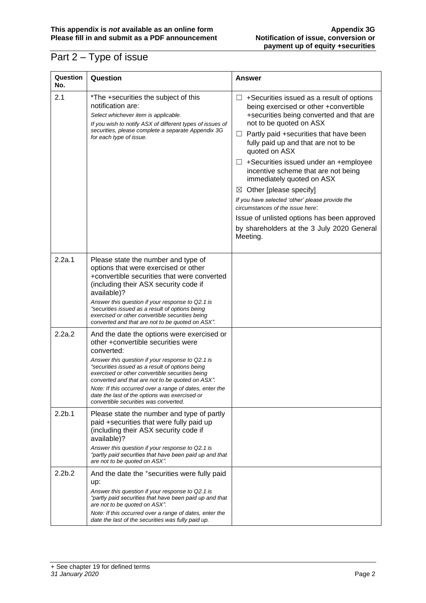# Part 2 – Type of issue

| Question<br>No.    | Question                                                                                                                                                                                                                                                                                                                                                                                                                                                          | Answer                                                                                                                                                                                                                                                                                                                                                                                                                                                                                                                                                                                                                                  |
|--------------------|-------------------------------------------------------------------------------------------------------------------------------------------------------------------------------------------------------------------------------------------------------------------------------------------------------------------------------------------------------------------------------------------------------------------------------------------------------------------|-----------------------------------------------------------------------------------------------------------------------------------------------------------------------------------------------------------------------------------------------------------------------------------------------------------------------------------------------------------------------------------------------------------------------------------------------------------------------------------------------------------------------------------------------------------------------------------------------------------------------------------------|
| 2.1                | *The +securities the subject of this<br>notification are:<br>Select whichever item is applicable.<br>If you wish to notify ASX of different types of issues of<br>securities, please complete a separate Appendix 3G<br>for each type of issue.                                                                                                                                                                                                                   | $\Box$ +Securities issued as a result of options<br>being exercised or other +convertible<br>+securities being converted and that are<br>not to be quoted on ASX<br>$\Box$ Partly paid +securities that have been<br>fully paid up and that are not to be<br>quoted on ASX<br>$\Box$ +Securities issued under an +employee<br>incentive scheme that are not being<br>immediately quoted on ASX<br>Other [please specify]<br>$\boxtimes$<br>If you have selected 'other' please provide the<br>circumstances of the issue here:<br>Issue of unlisted options has been approved<br>by shareholders at the 3 July 2020 General<br>Meeting. |
| 2.2a.1             | Please state the number and type of<br>options that were exercised or other<br>+convertible securities that were converted<br>(including their ASX security code if<br>available)?<br>Answer this question if your response to Q2.1 is<br>"securities issued as a result of options being<br>exercised or other convertible securities being<br>converted and that are not to be quoted on ASX".                                                                  |                                                                                                                                                                                                                                                                                                                                                                                                                                                                                                                                                                                                                                         |
| 2.2a.2             | And the date the options were exercised or<br>other +convertible securities were<br>converted:<br>Answer this question if your response to Q2.1 is<br>"securities issued as a result of options being<br>exercised or other convertible securities being<br>converted and that are not to be quoted on ASX".<br>Note: If this occurred over a range of dates, enter the<br>date the last of the options was exercised or<br>convertible securities was converted. |                                                                                                                                                                                                                                                                                                                                                                                                                                                                                                                                                                                                                                         |
| 2.2 <sub>b.1</sub> | Please state the number and type of partly<br>paid +securities that were fully paid up<br>(including their ASX security code if<br>available)?<br>Answer this question if your response to Q2.1 is<br>"partly paid securities that have been paid up and that<br>are not to be quoted on ASX".                                                                                                                                                                    |                                                                                                                                                                                                                                                                                                                                                                                                                                                                                                                                                                                                                                         |
| 2.2 <sub>b.2</sub> | And the date the +securities were fully paid<br>up:<br>Answer this question if your response to Q2.1 is<br>"partly paid securities that have been paid up and that<br>are not to be quoted on ASX".<br>Note: If this occurred over a range of dates, enter the<br>date the last of the securities was fully paid up.                                                                                                                                              |                                                                                                                                                                                                                                                                                                                                                                                                                                                                                                                                                                                                                                         |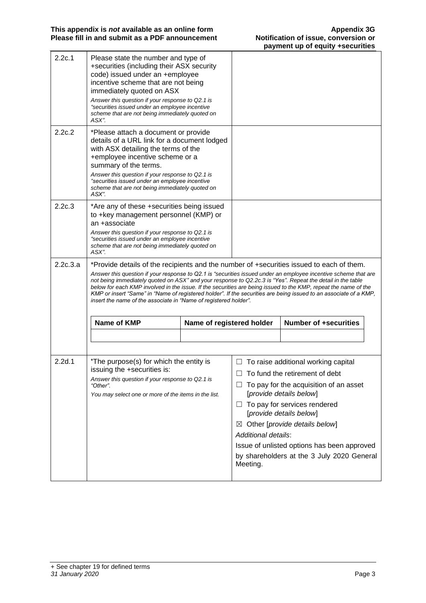|          |                                                                                                                                                                                                                                                                                                                                                                                                                                                                                                                                                                                                                                       |                           |                  | payment up or equity foculmed                                                                     |  |
|----------|---------------------------------------------------------------------------------------------------------------------------------------------------------------------------------------------------------------------------------------------------------------------------------------------------------------------------------------------------------------------------------------------------------------------------------------------------------------------------------------------------------------------------------------------------------------------------------------------------------------------------------------|---------------------------|------------------|---------------------------------------------------------------------------------------------------|--|
| 2.2c.1   | Please state the number and type of<br>+securities (including their ASX security<br>code) issued under an +employee<br>incentive scheme that are not being<br>immediately quoted on ASX<br>Answer this question if your response to Q2.1 is<br>"securities issued under an employee incentive<br>scheme that are not being immediately quoted on<br>ASX".                                                                                                                                                                                                                                                                             |                           |                  |                                                                                                   |  |
| 2.2c.2   | *Please attach a document or provide<br>details of a URL link for a document lodged<br>with ASX detailing the terms of the<br>+employee incentive scheme or a<br>summary of the terms.<br>Answer this question if your response to Q2.1 is<br>"securities issued under an employee incentive<br>scheme that are not being immediately quoted on<br>ASX".                                                                                                                                                                                                                                                                              |                           |                  |                                                                                                   |  |
| 2.2c.3   | *Are any of these +securities being issued<br>to +key management personnel (KMP) or<br>an +associate<br>Answer this question if your response to Q2.1 is<br>"securities issued under an employee incentive<br>scheme that are not being immediately quoted on<br>ASX".                                                                                                                                                                                                                                                                                                                                                                |                           |                  |                                                                                                   |  |
| 2.2c.3.a | *Provide details of the recipients and the number of +securities issued to each of them.<br>Answer this question if your response to Q2.1 is "securities issued under an employee incentive scheme that are<br>not being immediately quoted on ASX" and your response to Q2.2c.3 is "Yes". Repeat the detail in the table<br>below for each KMP involved in the issue. If the securities are being issued to the KMP, repeat the name of the<br>KMP or insert "Same" in "Name of registered holder". If the securities are being issued to an associate of a KMP,<br>insert the name of the associate in "Name of registered holder". |                           |                  |                                                                                                   |  |
|          | Name of KMP                                                                                                                                                                                                                                                                                                                                                                                                                                                                                                                                                                                                                           | Name of registered holder |                  | <b>Number of +securities</b>                                                                      |  |
| 2.2d.1   | *The purpose(s) for which the entity is<br>issuing the +securities is:                                                                                                                                                                                                                                                                                                                                                                                                                                                                                                                                                                |                           |                  | $\Box$ To raise additional working capital<br>To fund the retirement of debt                      |  |
|          | Answer this question if your response to Q2.1 is<br>"Other".<br>You may select one or more of the items in the list.                                                                                                                                                                                                                                                                                                                                                                                                                                                                                                                  |                           | $\Box$<br>$\Box$ | To pay for the acquisition of an asset<br>[provide details below]<br>To pay for services rendered |  |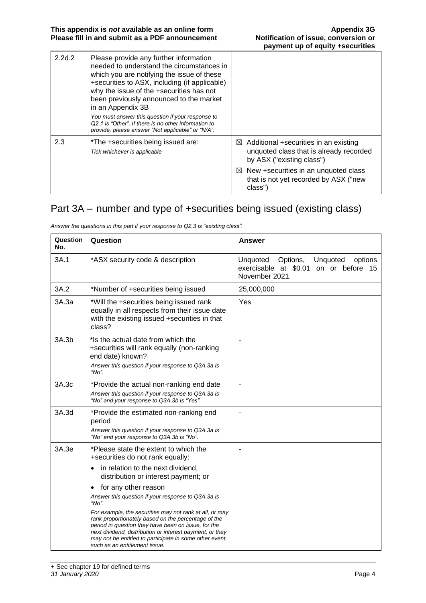| 2.2d.2 | Please provide any further information<br>needed to understand the circumstances in<br>which you are notifying the issue of these<br>+securities to ASX, including (if applicable)<br>why the issue of the +securities has not<br>been previously announced to the market<br>in an Appendix 3B<br>You must answer this question if your response to<br>Q2.1 is "Other". If there is no other information to<br>provide, please answer "Not applicable" or "N/A". |                                                                                                                           |
|--------|------------------------------------------------------------------------------------------------------------------------------------------------------------------------------------------------------------------------------------------------------------------------------------------------------------------------------------------------------------------------------------------------------------------------------------------------------------------|---------------------------------------------------------------------------------------------------------------------------|
| 2.3    | *The +securities being issued are:<br>Tick whichever is applicable                                                                                                                                                                                                                                                                                                                                                                                               | $\boxtimes$ Additional +securities in an existing<br>unquoted class that is already recorded<br>by ASX ("existing class") |
|        |                                                                                                                                                                                                                                                                                                                                                                                                                                                                  | $\boxtimes$ New +securities in an unquoted class<br>that is not yet recorded by ASX ("new<br>class")                      |

## Part 3A – number and type of +securities being issued (existing class)

| Question<br>No. | Question                                                                                                                                                                                                                                                                                                                                                                                                                                                                                                                                                                                                 | <b>Answer</b>                                                                                          |
|-----------------|----------------------------------------------------------------------------------------------------------------------------------------------------------------------------------------------------------------------------------------------------------------------------------------------------------------------------------------------------------------------------------------------------------------------------------------------------------------------------------------------------------------------------------------------------------------------------------------------------------|--------------------------------------------------------------------------------------------------------|
| 3A.1            | *ASX security code & description                                                                                                                                                                                                                                                                                                                                                                                                                                                                                                                                                                         | Unquoted<br>Options,<br>Unquoted<br>options<br>exercisable at \$0.01 on or before 15<br>November 2021. |
| 3A.2            | *Number of +securities being issued                                                                                                                                                                                                                                                                                                                                                                                                                                                                                                                                                                      | 25,000,000                                                                                             |
| 3A.3a           | *Will the +securities being issued rank<br>equally in all respects from their issue date<br>with the existing issued +securities in that<br>class?                                                                                                                                                                                                                                                                                                                                                                                                                                                       | Yes                                                                                                    |
| 3A.3b           | *Is the actual date from which the<br>+securities will rank equally (non-ranking<br>end date) known?<br>Answer this question if your response to Q3A.3a is<br>"No".                                                                                                                                                                                                                                                                                                                                                                                                                                      |                                                                                                        |
| 3A.3c           | *Provide the actual non-ranking end date<br>Answer this question if your response to Q3A.3a is<br>"No" and your response to Q3A.3b is "Yes".                                                                                                                                                                                                                                                                                                                                                                                                                                                             | ä,                                                                                                     |
| 3A.3d           | *Provide the estimated non-ranking end<br>period<br>Answer this question if your response to Q3A.3a is<br>"No" and your response to Q3A.3b is "No".                                                                                                                                                                                                                                                                                                                                                                                                                                                      | L,                                                                                                     |
| 3A.3e           | *Please state the extent to which the<br>+securities do not rank equally:<br>in relation to the next dividend,<br>$\bullet$<br>distribution or interest payment; or<br>for any other reason<br>$\bullet$<br>Answer this question if your response to Q3A.3a is<br>"No".<br>For example, the securities may not rank at all, or may<br>rank proportionately based on the percentage of the<br>period in question they have been on issue, for the<br>next dividend, distribution or interest payment; or they<br>may not be entitled to participate in some other event,<br>such as an entitlement issue. |                                                                                                        |

*Answer the questions in this part if your response to Q2.3 is "existing class".*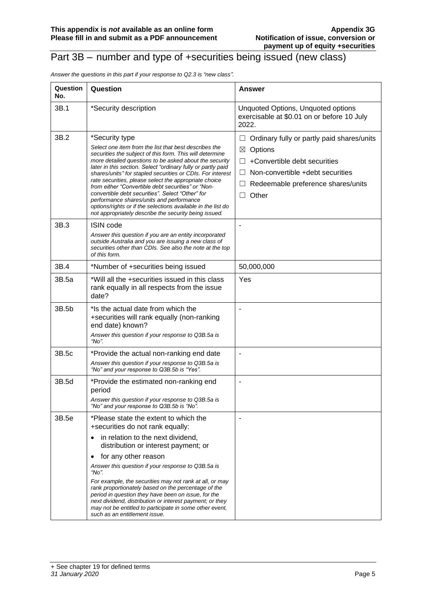### Part 3B – number and type of +securities being issued (new class)

*Answer the questions in this part if your response to Q2.3 is "new class".*

| Question<br>No. | Question                                                                                                                                                                                                                                                                                                                                                                                                                                                                                                                                                                                                                                                            | Answer                                                                                                                                                                                                              |
|-----------------|---------------------------------------------------------------------------------------------------------------------------------------------------------------------------------------------------------------------------------------------------------------------------------------------------------------------------------------------------------------------------------------------------------------------------------------------------------------------------------------------------------------------------------------------------------------------------------------------------------------------------------------------------------------------|---------------------------------------------------------------------------------------------------------------------------------------------------------------------------------------------------------------------|
| 3B.1            | *Security description                                                                                                                                                                                                                                                                                                                                                                                                                                                                                                                                                                                                                                               | Unquoted Options, Unquoted options<br>exercisable at \$0.01 on or before 10 July<br>2022.                                                                                                                           |
| 3B.2            | *Security type<br>Select one item from the list that best describes the<br>securities the subject of this form. This will determine<br>more detailed questions to be asked about the security<br>later in this section. Select "ordinary fully or partly paid<br>shares/units" for stapled securities or CDIs. For interest<br>rate securities, please select the appropriate choice<br>from either "Convertible debt securities" or "Non-<br>convertible debt securities". Select "Other" for<br>performance shares/units and performance<br>options/rights or if the selections available in the list do<br>not appropriately describe the security being issued. | Ordinary fully or partly paid shares/units<br>ш<br>Options<br>⊠<br>+Convertible debt securities<br>$\perp$<br>Non-convertible +debt securities<br>$\perp$<br>Redeemable preference shares/units<br>Other<br>$\perp$ |
| 3B.3            | <b>ISIN code</b><br>Answer this question if you are an entity incorporated<br>outside Australia and you are issuing a new class of<br>securities other than CDIs. See also the note at the top<br>of this form.                                                                                                                                                                                                                                                                                                                                                                                                                                                     |                                                                                                                                                                                                                     |
| 3B.4            | *Number of +securities being issued                                                                                                                                                                                                                                                                                                                                                                                                                                                                                                                                                                                                                                 | 50,000,000                                                                                                                                                                                                          |
| 3B.5a           | *Will all the +securities issued in this class<br>rank equally in all respects from the issue<br>date?                                                                                                                                                                                                                                                                                                                                                                                                                                                                                                                                                              | Yes                                                                                                                                                                                                                 |
| 3B.5b           | *Is the actual date from which the<br>+securities will rank equally (non-ranking<br>end date) known?<br>Answer this question if your response to Q3B.5a is<br>" $No$ ".                                                                                                                                                                                                                                                                                                                                                                                                                                                                                             |                                                                                                                                                                                                                     |
| 3B.5c           | *Provide the actual non-ranking end date<br>Answer this question if your response to Q3B.5a is<br>"No" and your response to Q3B.5b is "Yes".                                                                                                                                                                                                                                                                                                                                                                                                                                                                                                                        | $\blacksquare$                                                                                                                                                                                                      |
| 3B.5d           | *Provide the estimated non-ranking end<br>period<br>Answer this question if your response to Q3B.5a is<br>"No" and your response to Q3B.5b is "No".                                                                                                                                                                                                                                                                                                                                                                                                                                                                                                                 |                                                                                                                                                                                                                     |
| 3B.5e           | *Please state the extent to which the<br>+securities do not rank equally:<br>in relation to the next dividend,<br>$\bullet$<br>distribution or interest payment; or<br>for any other reason<br>$\bullet$<br>Answer this question if your response to Q3B.5a is<br>"No".<br>For example, the securities may not rank at all, or may<br>rank proportionately based on the percentage of the<br>period in question they have been on issue, for the<br>next dividend, distribution or interest payment; or they<br>may not be entitled to participate in some other event,<br>such as an entitlement issue.                                                            |                                                                                                                                                                                                                     |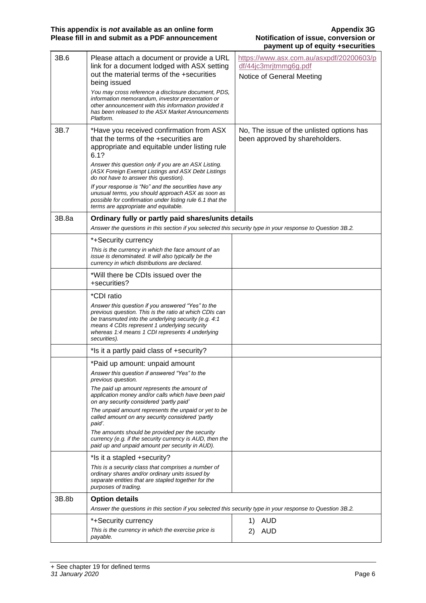| 3B.6  | Please attach a document or provide a URL<br>link for a document lodged with ASX setting<br>out the material terms of the +securities<br>being issued<br>You may cross reference a disclosure document, PDS,<br>information memorandum, investor presentation or<br>other announcement with this information provided it<br>has been released to the ASX Market Announcements<br>Platform.                                                                                                                         | https://www.asx.com.au/asxpdf/20200603/p<br>df/44jc3mrjtmmg6g.pdf<br>Notice of General Meeting |
|-------|--------------------------------------------------------------------------------------------------------------------------------------------------------------------------------------------------------------------------------------------------------------------------------------------------------------------------------------------------------------------------------------------------------------------------------------------------------------------------------------------------------------------|------------------------------------------------------------------------------------------------|
| 3B.7  | *Have you received confirmation from ASX<br>that the terms of the +securities are<br>appropriate and equitable under listing rule<br>6.1?<br>Answer this question only if you are an ASX Listing.<br>(ASX Foreign Exempt Listings and ASX Debt Listings<br>do not have to answer this question).<br>If your response is "No" and the securities have any<br>unusual terms, you should approach ASX as soon as<br>possible for confirmation under listing rule 6.1 that the<br>terms are appropriate and equitable. | No, The issue of the unlisted options has<br>been approved by shareholders.                    |
| 3B.8a | Ordinary fully or partly paid shares/units details<br>Answer the questions in this section if you selected this security type in your response to Question 3B.2.                                                                                                                                                                                                                                                                                                                                                   |                                                                                                |
|       | *+Security currency<br>This is the currency in which the face amount of an<br>issue is denominated. It will also typically be the<br>currency in which distributions are declared.                                                                                                                                                                                                                                                                                                                                 |                                                                                                |
|       | *Will there be CDIs issued over the<br>+securities?                                                                                                                                                                                                                                                                                                                                                                                                                                                                |                                                                                                |
|       | *CDI ratio<br>Answer this question if you answered "Yes" to the<br>previous question. This is the ratio at which CDIs can<br>be transmuted into the underlying security (e.g. 4:1<br>means 4 CDIs represent 1 underlying security<br>whereas 1:4 means 1 CDI represents 4 underlying<br>securities).                                                                                                                                                                                                               |                                                                                                |
|       | *Is it a partly paid class of +security?                                                                                                                                                                                                                                                                                                                                                                                                                                                                           |                                                                                                |
|       | *Paid up amount: unpaid amount<br>Answer this question if answered "Yes" to the<br>previous question.<br>The paid up amount represents the amount of<br>application money and/or calls which have been paid<br>on any security considered 'partly paid'<br>The unpaid amount represents the unpaid or yet to be<br>called amount on any security considered 'partly<br>paid'.                                                                                                                                      |                                                                                                |
|       | The amounts should be provided per the security<br>currency (e.g. if the security currency is AUD, then the<br>paid up and unpaid amount per security in AUD).                                                                                                                                                                                                                                                                                                                                                     |                                                                                                |
|       | *Is it a stapled +security?                                                                                                                                                                                                                                                                                                                                                                                                                                                                                        |                                                                                                |
|       | This is a security class that comprises a number of<br>ordinary shares and/or ordinary units issued by<br>separate entities that are stapled together for the<br>purposes of trading.                                                                                                                                                                                                                                                                                                                              |                                                                                                |
| 3B.8b | <b>Option details</b>                                                                                                                                                                                                                                                                                                                                                                                                                                                                                              |                                                                                                |
|       | Answer the questions in this section if you selected this security type in your response to Question 3B.2.                                                                                                                                                                                                                                                                                                                                                                                                         |                                                                                                |
|       | *+Security currency                                                                                                                                                                                                                                                                                                                                                                                                                                                                                                | <b>AUD</b><br>1)                                                                               |
|       | This is the currency in which the exercise price is<br>payable.                                                                                                                                                                                                                                                                                                                                                                                                                                                    | <b>AUD</b><br>2)                                                                               |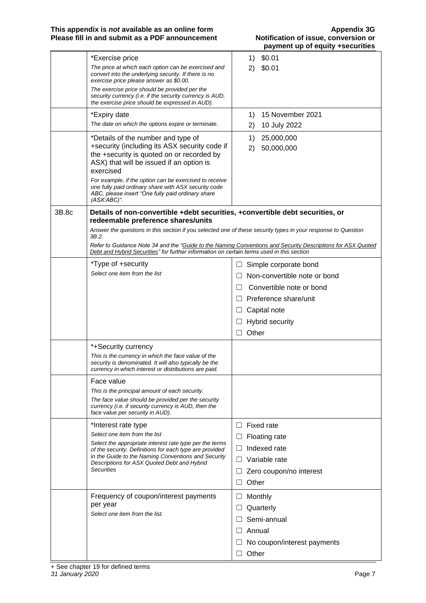|       |                                                                                                                                                                                                          |         |          | payment up or equity +securities |
|-------|----------------------------------------------------------------------------------------------------------------------------------------------------------------------------------------------------------|---------|----------|----------------------------------|
|       | *Exercise price<br>The price at which each option can be exercised and                                                                                                                                   |         | 1)<br>2) | \$0.01<br>\$0.01                 |
|       | convert into the underlying security. If there is no<br>exercise price please answer as \$0.00.<br>The exercise price should be provided per the                                                         |         |          |                                  |
|       | security currency (i.e. if the security currency is AUD,<br>the exercise price should be expressed in AUD).                                                                                              |         |          |                                  |
|       | *Expiry date                                                                                                                                                                                             |         | 1)       | 15 November 2021                 |
|       | The date on which the options expire or terminate.                                                                                                                                                       |         | 2)       | 10 July 2022                     |
|       | *Details of the number and type of<br>+security (including its ASX security code if                                                                                                                      |         | 1)       | 25,000,000                       |
|       | the +security is quoted on or recorded by<br>ASX) that will be issued if an option is<br>exercised                                                                                                       |         | 2)       | 50,000,000                       |
|       | For example, if the option can be exercised to receive<br>one fully paid ordinary share with ASX security code<br>ABC, please insert "One fully paid ordinary share<br>$(ASK:ABC)^{n}$ .                 |         |          |                                  |
| 3B.8c | Details of non-convertible +debt securities, +convertible debt securities, or                                                                                                                            |         |          |                                  |
|       | redeemable preference shares/units<br>Answer the questions in this section if you selected one of these security types in your response to Question<br>3B.2.                                             |         |          |                                  |
|       | Refer to Guidance Note 34 and the "Guide to the Naming Conventions and Security Descriptions for ASX Quoted<br>Debt and Hybrid Securities" for further information on certain terms used in this section |         |          |                                  |
|       | *Type of +security                                                                                                                                                                                       | ш       |          | Simple corporate bond            |
|       | Select one item from the list                                                                                                                                                                            |         |          | Non-convertible note or bond     |
|       |                                                                                                                                                                                                          | $\Box$  |          | Convertible note or bond         |
|       |                                                                                                                                                                                                          |         |          | $\Box$ Preference share/unit     |
|       |                                                                                                                                                                                                          | ப       |          | Capital note                     |
|       |                                                                                                                                                                                                          | ப       |          | <b>Hybrid security</b>           |
|       |                                                                                                                                                                                                          | $\perp$ | Other    |                                  |
|       | *+Security currency                                                                                                                                                                                      |         |          |                                  |
|       | This is the currency in which the face value of the<br>security is denominated. It will also typically be the<br>currency in which interest or distributions are paid.                                   |         |          |                                  |
|       | Face value                                                                                                                                                                                               |         |          |                                  |
|       | This is the principal amount of each security.                                                                                                                                                           |         |          |                                  |
|       | The face value should be provided per the security<br>currency (i.e. if security currency is AUD, then the<br>face value per security in AUD).                                                           |         |          |                                  |
|       | *Interest rate type                                                                                                                                                                                      | Ш       |          | Fixed rate                       |
|       | Select one item from the list                                                                                                                                                                            |         |          | Floating rate                    |
|       | Select the appropriate interest rate type per the terms<br>of the security. Definitions for each type are provided                                                                                       | $\Box$  |          | Indexed rate                     |
|       | in the Guide to the Naming Conventions and Security<br>Descriptions for ASX Quoted Debt and Hybrid                                                                                                       |         |          | Variable rate                    |
|       | <b>Securities</b>                                                                                                                                                                                        | ⊔       |          | Zero coupon/no interest          |
|       |                                                                                                                                                                                                          |         | Other    |                                  |
|       | Frequency of coupon/interest payments                                                                                                                                                                    | Ш       |          | Monthly                          |
|       | per year<br>Select one item from the list.                                                                                                                                                               | Ш       |          | Quarterly                        |
|       |                                                                                                                                                                                                          |         |          | Semi-annual                      |
|       |                                                                                                                                                                                                          | $\Box$  |          | Annual                           |
|       |                                                                                                                                                                                                          |         |          | No coupon/interest payments      |
|       |                                                                                                                                                                                                          |         | Other    |                                  |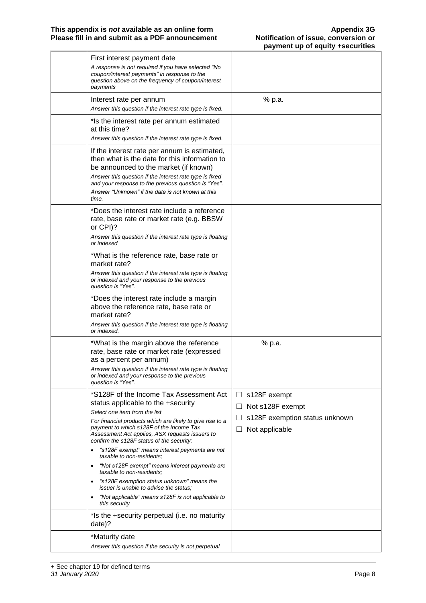| First interest payment date<br>A response is not required if you have selected "No<br>coupon/interest payments" in response to the<br>question above on the frequency of coupon/interest<br>payments                                                                                                                                                                      |                                                                                                                      |
|---------------------------------------------------------------------------------------------------------------------------------------------------------------------------------------------------------------------------------------------------------------------------------------------------------------------------------------------------------------------------|----------------------------------------------------------------------------------------------------------------------|
| Interest rate per annum<br>Answer this question if the interest rate type is fixed.                                                                                                                                                                                                                                                                                       | % p.a.                                                                                                               |
| *Is the interest rate per annum estimated<br>at this time?<br>Answer this question if the interest rate type is fixed.                                                                                                                                                                                                                                                    |                                                                                                                      |
| If the interest rate per annum is estimated,<br>then what is the date for this information to<br>be announced to the market (if known)<br>Answer this question if the interest rate type is fixed<br>and your response to the previous question is "Yes".<br>Answer "Unknown" if the date is not known at this<br>time.                                                   |                                                                                                                      |
| *Does the interest rate include a reference<br>rate, base rate or market rate (e.g. BBSW<br>or CPI)?<br>Answer this question if the interest rate type is floating<br>or indexed                                                                                                                                                                                          |                                                                                                                      |
| *What is the reference rate, base rate or<br>market rate?<br>Answer this question if the interest rate type is floating<br>or indexed and your response to the previous<br>question is "Yes".                                                                                                                                                                             |                                                                                                                      |
| *Does the interest rate include a margin<br>above the reference rate, base rate or<br>market rate?<br>Answer this question if the interest rate type is floating<br>or indexed.                                                                                                                                                                                           |                                                                                                                      |
| *What is the margin above the reference<br>rate, base rate or market rate (expressed<br>as a percent per annum)<br>Answer this question if the interest rate type is floating<br>or indexed and your response to the previous<br>question is "Yes".                                                                                                                       | % p.a.                                                                                                               |
| *S128F of the Income Tax Assessment Act<br>status applicable to the +security<br>Select one item from the list<br>For financial products which are likely to give rise to a<br>payment to which s128F of the Income Tax<br>Assessment Act applies, ASX requests issuers to<br>confirm the s128F status of the security:<br>"s128F exempt" means interest payments are not | s128F exempt<br>$\Box$<br>Not s128F exempt<br>$\sqcup$<br>s128F exemption status unknown<br>Not applicable<br>$\Box$ |
| taxable to non-residents:<br>"Not s128F exempt" means interest payments are<br>$\bullet$<br>taxable to non-residents:<br>"s128F exemption status unknown" means the<br><i>issuer is unable to advise the status:</i><br>"Not applicable" means s128F is not applicable to<br>$\bullet$<br>this security                                                                   |                                                                                                                      |
| *Is the +security perpetual (i.e. no maturity<br>date)?                                                                                                                                                                                                                                                                                                                   |                                                                                                                      |
| *Maturity date<br>Answer this question if the security is not perpetual                                                                                                                                                                                                                                                                                                   |                                                                                                                      |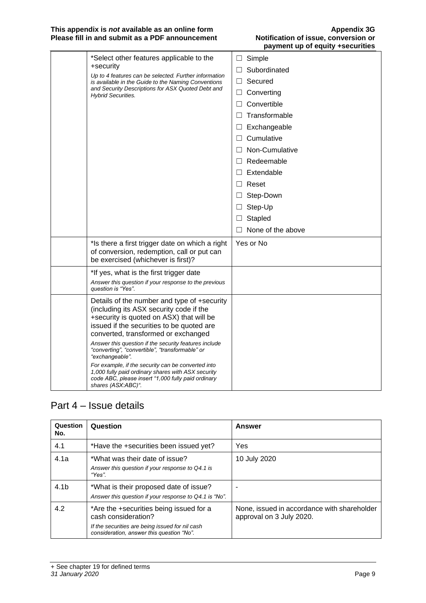#### **This appendix is** *not* **available as an online form Appendix 3G Please fill in and submit as a PDF announcement Notification of issue, conversion or**

| *Select other features applicable to the<br>+security<br>Up to 4 features can be selected. Further information<br>is available in the Guide to the Naming Conventions<br>and Security Descriptions for ASX Quoted Debt and<br><b>Hybrid Securities.</b>                                                                                                                                                                                                                                                                                       | Simple<br>$\Box$<br>Subordinated<br>П<br>Secured<br>$\Box$<br>Converting<br>$\Box$<br>Convertible<br>$\Box$<br>Transformable<br>П<br>Exchangeable<br>$\Box$<br>$\Box$ Cumulative<br>Non-Cumulative<br>П<br>$\Box$ Redeemable<br>Extendable<br>$\Box$<br>$\Box$ Reset<br>Step-Down<br>$\Box$<br>Step-Up<br>$\Box$<br>Stapled<br>$\Box$ |
|-----------------------------------------------------------------------------------------------------------------------------------------------------------------------------------------------------------------------------------------------------------------------------------------------------------------------------------------------------------------------------------------------------------------------------------------------------------------------------------------------------------------------------------------------|---------------------------------------------------------------------------------------------------------------------------------------------------------------------------------------------------------------------------------------------------------------------------------------------------------------------------------------|
| *Is there a first trigger date on which a right<br>of conversion, redemption, call or put can<br>be exercised (whichever is first)?                                                                                                                                                                                                                                                                                                                                                                                                           | None of the above<br>$\Box$<br>Yes or No                                                                                                                                                                                                                                                                                              |
| *If yes, what is the first trigger date<br>Answer this question if your response to the previous<br>question is "Yes".                                                                                                                                                                                                                                                                                                                                                                                                                        |                                                                                                                                                                                                                                                                                                                                       |
| Details of the number and type of +security<br>(including its ASX security code if the<br>+security is quoted on ASX) that will be<br>issued if the securities to be quoted are<br>converted, transformed or exchanged<br>Answer this question if the security features include<br>"converting", "convertible", "transformable" or<br>"exchangeable".<br>For example, if the security can be converted into<br>1,000 fully paid ordinary shares with ASX security<br>code ABC, please insert "1,000 fully paid ordinary<br>shares (ASX:ABC)". |                                                                                                                                                                                                                                                                                                                                       |

### Part 4 – Issue details

| Question<br>No.  | Question                                                                                                                                                       | Answer                                                                  |
|------------------|----------------------------------------------------------------------------------------------------------------------------------------------------------------|-------------------------------------------------------------------------|
| 4.1              | *Have the +securities been issued yet?                                                                                                                         | Yes                                                                     |
| 4.1a             | *What was their date of issue?<br>Answer this question if your response to Q4.1 is<br>"Yes".                                                                   | 10 July 2020                                                            |
| 4.1 <sub>b</sub> | *What is their proposed date of issue?<br>Answer this question if your response to Q4.1 is "No".                                                               |                                                                         |
| 4.2              | *Are the +securities being issued for a<br>cash consideration?<br>If the securities are being issued for nil cash<br>consideration, answer this question "No". | None, issued in accordance with shareholder<br>approval on 3 July 2020. |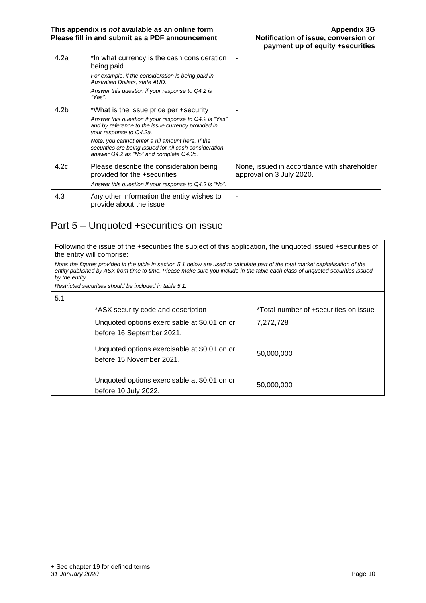| 4.2a | *In what currency is the cash consideration<br>being paid<br>For example, if the consideration is being paid in<br>Australian Dollars, state AUD.<br>Answer this question if your response to Q4.2 is<br>"Yes".                                                                                                                             |                                                                         |
|------|---------------------------------------------------------------------------------------------------------------------------------------------------------------------------------------------------------------------------------------------------------------------------------------------------------------------------------------------|-------------------------------------------------------------------------|
| 4.2b | *What is the issue price per +security<br>Answer this question if your response to Q4.2 is "Yes"<br>and by reference to the issue currency provided in<br>your response to Q4.2a.<br>Note: you cannot enter a nil amount here. If the<br>securities are being issued for nil cash consideration,<br>answer Q4.2 as "No" and complete Q4.2c. |                                                                         |
| 4.2c | Please describe the consideration being<br>provided for the +securities<br>Answer this question if your response to Q4.2 is "No".                                                                                                                                                                                                           | None, issued in accordance with shareholder<br>approval on 3 July 2020. |
| 4.3  | Any other information the entity wishes to<br>provide about the issue                                                                                                                                                                                                                                                                       |                                                                         |

### Part 5 – Unquoted +securities on issue

Following the issue of the +securities the subject of this application, the unquoted issued +securities of the entity will comprise:

*Note: the figures provided in the table in section 5.1 below are used to calculate part of the total market capitalisation of the entity published by ASX from time to time. Please make sure you include in the table each class of unquoted securities issued by the entity.*

*Restricted securities should be included in table 5.1.*

| 5.1 |                                                                           |                                       |
|-----|---------------------------------------------------------------------------|---------------------------------------|
|     | *ASX security code and description                                        | *Total number of +securities on issue |
|     | Unquoted options exercisable at \$0.01 on or<br>before 16 September 2021. | 7,272,728                             |
|     | Unquoted options exercisable at \$0.01 on or<br>before 15 November 2021.  | 50,000,000                            |
|     | Unquoted options exercisable at \$0.01 on or<br>before 10 July 2022.      | 50,000,000                            |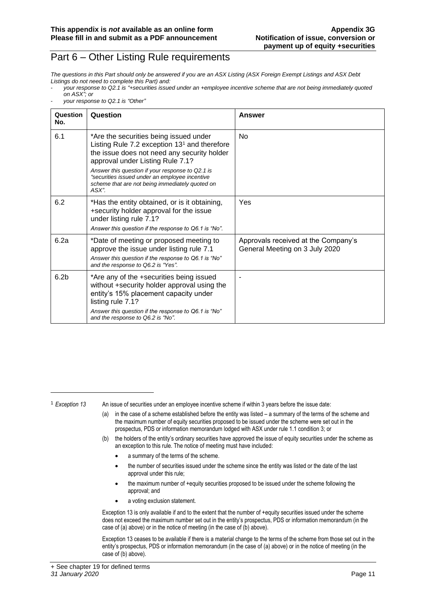### Part 6 – Other Listing Rule requirements

*The questions in this Part should only be answered if you are an ASX Listing (ASX Foreign Exempt Listings and ASX Debt Listings do not need to complete this Part) and:*

- *your response to Q2.1 is "+securities issued under an +employee incentive scheme that are not being immediately quoted on ASX"; or*
- *your response to Q2.1 is "Other"*

| Question<br>No.  | Question                                                                                                                                                                                                                                                                                                                                      | Answer                                                                |
|------------------|-----------------------------------------------------------------------------------------------------------------------------------------------------------------------------------------------------------------------------------------------------------------------------------------------------------------------------------------------|-----------------------------------------------------------------------|
| 6.1              | *Are the securities being issued under<br>Listing Rule 7.2 exception $131$ and therefore<br>the issue does not need any security holder<br>approval under Listing Rule 7.1?<br>Answer this question if your response to Q2.1 is<br>"securities issued under an employee incentive<br>scheme that are not being immediately quoted on<br>ASX". | No.                                                                   |
| 6.2              | *Has the entity obtained, or is it obtaining,<br>+security holder approval for the issue<br>under listing rule 7.1?<br>Answer this question if the response to Q6.1 is "No".                                                                                                                                                                  | Yes                                                                   |
| 6.2a             | *Date of meeting or proposed meeting to<br>approve the issue under listing rule 7.1<br>Answer this question if the response to Q6.1 is "No"<br>and the response to Q6.2 is "Yes".                                                                                                                                                             | Approvals received at the Company's<br>General Meeting on 3 July 2020 |
| 6.2 <sub>b</sub> | *Are any of the +securities being issued<br>without +security holder approval using the<br>entity's 15% placement capacity under<br>listing rule 7.1?<br>Answer this question if the response to Q6.1 is "No"<br>and the response to Q6.2 is "No".                                                                                            |                                                                       |

<sup>1</sup> *Exception 13* An issue of securities under an employee incentive scheme if within 3 years before the issue date:

- (a) in the case of a scheme established before the entity was listed a summary of the terms of the scheme and the maximum number of equity securities proposed to be issued under the scheme were set out in the prospectus, PDS or information memorandum lodged with ASX under rule 1.1 condition 3; or
- (b) the holders of the entity's ordinary securities have approved the issue of equity securities under the scheme as an exception to this rule. The notice of meeting must have included:
	- a summary of the terms of the scheme.
	- the number of securities issued under the scheme since the entity was listed or the date of the last approval under this rule;
	- the maximum number of +equity securities proposed to be issued under the scheme following the approval; and
	- a voting exclusion statement.

Exception 13 is only available if and to the extent that the number of +equity securities issued under the scheme does not exceed the maximum number set out in the entity's prospectus, PDS or information memorandum (in the case of (a) above) or in the notice of meeting (in the case of (b) above).

Exception 13 ceases to be available if there is a material change to the terms of the scheme from those set out in the entity's prospectus, PDS or information memorandum (in the case of (a) above) or in the notice of meeting (in the case of (b) above).